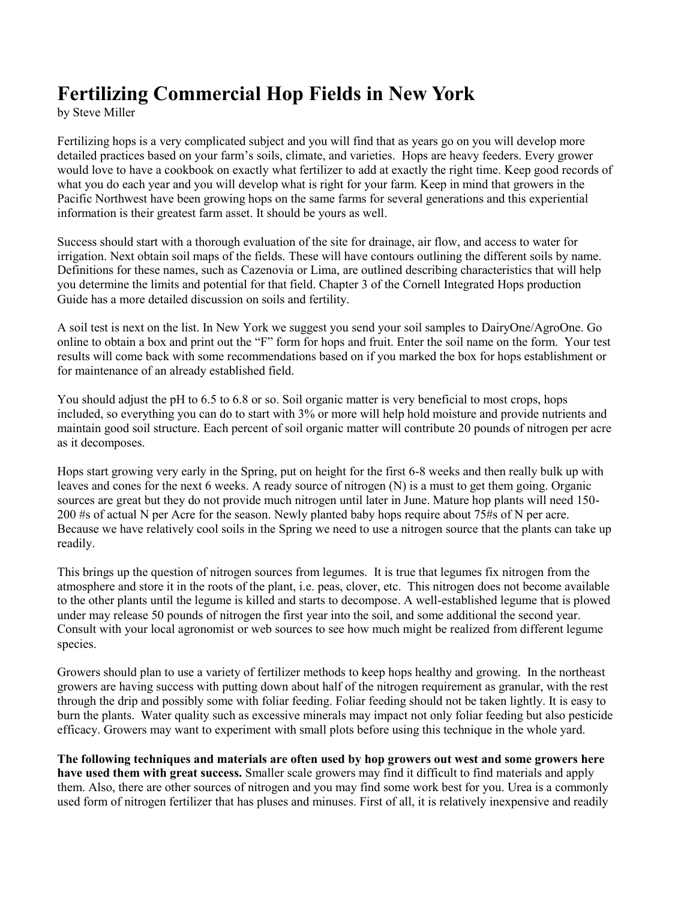## **Fertilizing Commercial Hop Fields in New York**

by Steve Miller

Fertilizing hops is a very complicated subject and you will find that as years go on you will develop more detailed practices based on your farm's soils, climate, and varieties. Hops are heavy feeders. Every grower would love to have a cookbook on exactly what fertilizer to add at exactly the right time. Keep good records of what you do each year and you will develop what is right for your farm. Keep in mind that growers in the Pacific Northwest have been growing hops on the same farms for several generations and this experiential information is their greatest farm asset. It should be yours as well.

Success should start with a thorough evaluation of the site for drainage, air flow, and access to water for irrigation. Next obtain soil maps of the fields. These will have contours outlining the different soils by name. Definitions for these names, such as Cazenovia or Lima, are outlined describing characteristics that will help you determine the limits and potential for that field. Chapter 3 of the Cornell Integrated Hops production Guide has a more detailed discussion on soils and fertility.

A soil test is next on the list. In New York we suggest you send your soil samples to DairyOne/AgroOne. Go online to obtain a box and print out the "F" form for hops and fruit. Enter the soil name on the form. Your test results will come back with some recommendations based on if you marked the box for hops establishment or for maintenance of an already established field.

You should adjust the pH to 6.5 to 6.8 or so. Soil organic matter is very beneficial to most crops, hops included, so everything you can do to start with 3% or more will help hold moisture and provide nutrients and maintain good soil structure. Each percent of soil organic matter will contribute 20 pounds of nitrogen per acre as it decomposes.

Hops start growing very early in the Spring, put on height for the first 6-8 weeks and then really bulk up with leaves and cones for the next 6 weeks. A ready source of nitrogen (N) is a must to get them going. Organic sources are great but they do not provide much nitrogen until later in June. Mature hop plants will need 150- 200 #s of actual N per Acre for the season. Newly planted baby hops require about 75#s of N per acre. Because we have relatively cool soils in the Spring we need to use a nitrogen source that the plants can take up readily.

This brings up the question of nitrogen sources from legumes. It is true that legumes fix nitrogen from the atmosphere and store it in the roots of the plant, i.e. peas, clover, etc. This nitrogen does not become available to the other plants until the legume is killed and starts to decompose. A well-established legume that is plowed under may release 50 pounds of nitrogen the first year into the soil, and some additional the second year. Consult with your local agronomist or web sources to see how much might be realized from different legume species.

Growers should plan to use a variety of fertilizer methods to keep hops healthy and growing. In the northeast growers are having success with putting down about half of the nitrogen requirement as granular, with the rest through the drip and possibly some with foliar feeding. Foliar feeding should not be taken lightly. It is easy to burn the plants. Water quality such as excessive minerals may impact not only foliar feeding but also pesticide efficacy. Growers may want to experiment with small plots before using this technique in the whole yard.

**The following techniques and materials are often used by hop growers out west and some growers here have used them with great success.** Smaller scale growers may find it difficult to find materials and apply them. Also, there are other sources of nitrogen and you may find some work best for you. Urea is a commonly used form of nitrogen fertilizer that has pluses and minuses. First of all, it is relatively inexpensive and readily